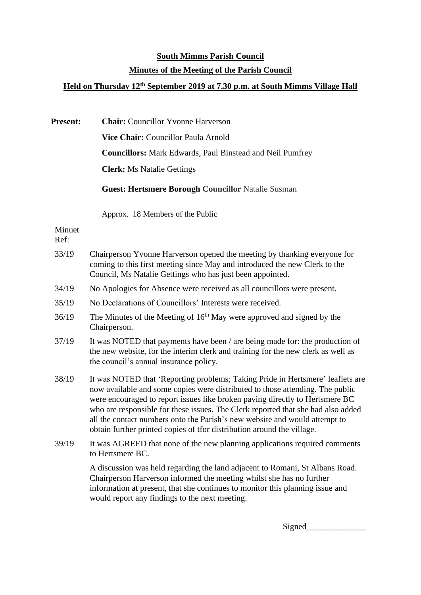## **South Mimms Parish Council Minutes of the Meeting of the Parish Council**

## **Held on Thursday 12th September 2019 at 7.30 p.m. at South Mimms Village Hall**

**Present: Chair:** Councillor Yvonne Harverson **Vice Chair:** Councillor Paula Arnold **Councillors:** Mark Edwards, Paul Binstead and Neil Pumfrey **Clerk:** Ms Natalie Gettings **Guest: Hertsmere Borough Councillor** Natalie Susman Approx. 18 Members of the Public Minuet Ref: 33/19 Chairperson Yvonne Harverson opened the meeting by thanking everyone for coming to this first meeting since May and introduced the new Clerk to the Council, Ms Natalie Gettings who has just been appointed. 34/19 No Apologies for Absence were received as all councillors were present. 35/19 No Declarations of Councillors' Interests were received. 36/19 The Minutes of the Meeting of 16th May were approved and signed by the Chairperson. 37/19 It was NOTED that payments have been / are being made for: the production of the new website, for the interim clerk and training for the new clerk as well as the council's annual insurance policy. 38/19 It was NOTED that 'Reporting problems; Taking Pride in Hertsmere' leaflets are now available and some copies were distributed to those attending. The public were encouraged to report issues like broken paving directly to Hertsmere BC who are responsible for these issues. The Clerk reported that she had also added all the contact numbers onto the Parish's new website and would attempt to obtain further printed copies of tfor distribution around the village. 39/19 It was AGREED that none of the new planning applications required comments to Hertsmere BC. A discussion was held regarding the land adjacent to Romani, St Albans Road. Chairperson Harverson informed the meeting whilst she has no further information at present, that she continues to monitor this planning issue and would report any findings to the next meeting.

Signed